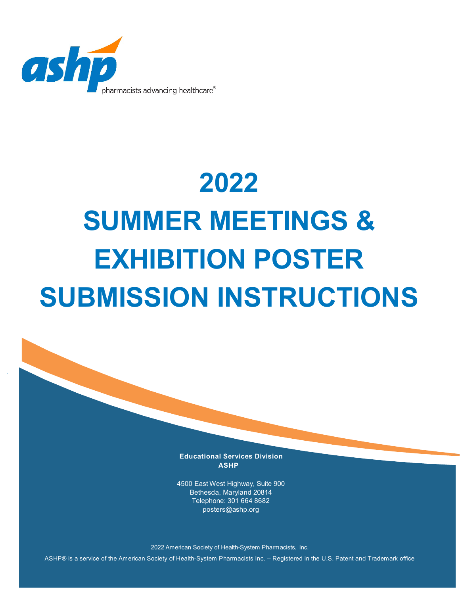

# **2022 SUMMER MEETINGS & EXHIBITION POSTER SUBMISSION INSTRUCTIONS**

**Educational Services Division ASHP**

4500 East West Highway, Suite 900 Bethesda, Maryland 20814 Telephone: 301 664 868[2](mailto:posters@ashp.org) [posters@ashp.org](mailto:posters@ashp.org)

2022 American Society of Health-System Pharmacists, Inc.

ASHP® is a service of the American Society of Health-System Pharmacists Inc. – Registered in the U.S. Patent and Trademark office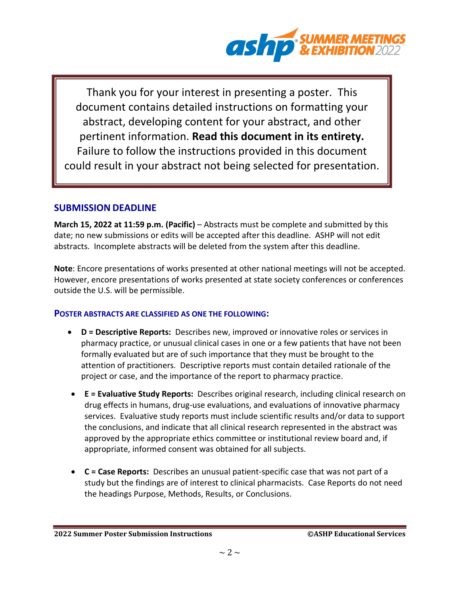

Thank you for your interest in presenting a poster. This document contains detailed instructions on formatting your abstract, developing content for your abstract, and other pertinent information. **Read this document in its entirety.** Failure to follow the instructions provided in this document could result in your abstract not being selected for presentation.

## **SUBMISSION DEADLINE**

**March 15, 2022 at 11:59 p.m. (Pacific)** – Abstracts must be complete and submitted by this date; no new submissions or edits will be accepted after this deadline. ASHP will not edit abstracts. Incomplete abstracts will be deleted from the system after this deadline.

**Note**: Encore presentations of works presented at other national meetings will not be accepted. However, encore presentations of works presented at state society conferences or conferences outside the U.S. will be permissible.

## **POSTER ABSTRACTS ARE CLASSIFIED AS ONE THE FOLLOWING:**

- **D = Descriptive Reports:** Describes new, improved or innovative roles or services in pharmacy practice, or unusual clinical cases in one or a few patients that have not been formally evaluated but are of such importance that they must be brought to the attention of practitioners. Descriptive reports must contain detailed rationale of the project or case, and the importance of the report to pharmacy practice.
- **E = Evaluative Study Reports:** Describes original research, including clinical research on drug effects in humans, drug-use evaluations, and evaluations of innovative pharmacy services. Evaluative study reports must include scientific results and/or data to support the conclusions, and indicate that all clinical research represented in the abstract was approved by the appropriate ethics committee or institutional review board and, if appropriate, informed consent was obtained for all subjects.
- **C = Case Reports:** Describes an unusual patient-specific case that was not part of a study but the findings are of interest to clinical pharmacists. Case Reports do not need the headings Purpose, Methods, Results, or Conclusions.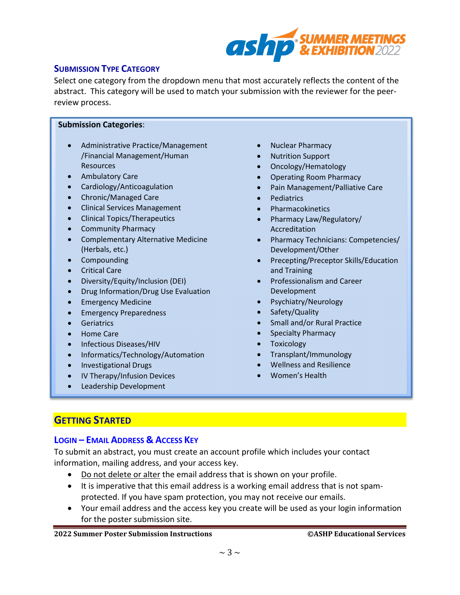

## **SUBMISSION TYPE CATEGORY**

Select one category from the dropdown menu that most accurately reflects the content of the abstract. This category will be used to match your submission with the reviewer for the peerreview process.

#### **Submission Categories**:

- Administrative Practice/Management /Financial Management/Human Resources
- Ambulatory Care
- Cardiology/Anticoagulation
- Chronic/Managed Care
- Clinical Services Management
- Clinical Topics/Therapeutics
- Community Pharmacy
- Complementary Alternative Medicine (Herbals, etc.)
- Compounding
- Critical Care
- Diversity/Equity/Inclusion (DEI)
- Drug Information/Drug Use Evaluation
- Emergency Medicine
- Emergency Preparedness
- Geriatrics
- Home Care
- Infectious Diseases/HIV
- Informatics/Technology/Automation
- Investigational Drugs
- IV Therapy/Infusion Devices
- Leadership Development
- Nuclear Pharmacy
- Nutrition Support
- Oncology/Hematology
- Operating Room Pharmacy
- Pain Management/Palliative Care
- **Pediatrics**
- Pharmacokinetics
- Pharmacy Law/Regulatory/ Accreditation
- Pharmacy Technicians: Competencies/ Development/Other
- Precepting/Preceptor Skills/Education and Training
- Professionalism and Career Development
- Psychiatry/Neurology
- Safety/Quality
- Small and/or Rural Practice
- Specialty Pharmacy
- **Toxicology**
- Transplant/Immunology
- Wellness and Resilience
- Women's Health

## **GETTING STARTED**

## **LOGIN – EMAIL ADDRESS & ACCESS KEY**

To submit an abstract, you must create an account profile which includes your contact information, mailing address, and your access key.

- Do not delete or alter the email address that is shown on your profile.
- It is imperative that this email address is a working email address that is not spamprotected. If you have spam protection, you may not receive our emails.
- Your email address and the access key you create will be used as your login information for the poster submission site.

#### **2022 Summer Poster Submission Instructions ©ASHP Educational Services**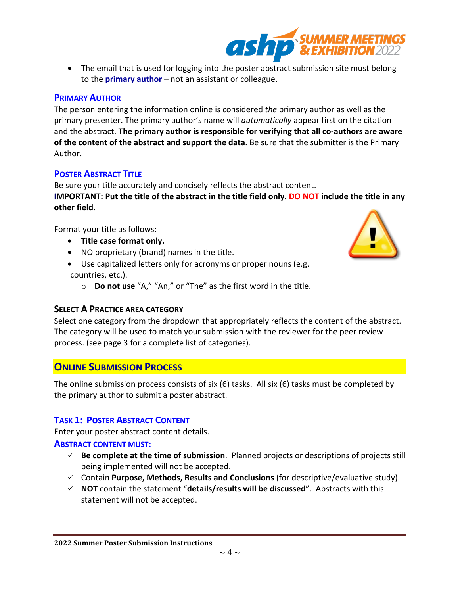**2022 Summer Poster Submission Instructions**

• The email that is used for logging into the poster abstract submission site must belong to the **primary author** – not an assistant or colleague.

## **PRIMARY AUTHOR**

The person entering the information online is considered *the* primary author as well as the primary presenter. The primary author's name will *automatically* appear first on the citation and the abstract. **The primary author is responsible for verifying that all co-authors are aware of the content of the abstract and support the data**. Be sure that the submitter is the Primary Author.

## **POSTER ABSTRACT TITLE**

Be sure your title accurately and concisely reflects the abstract content. **IMPORTANT: Put the title of the abstract in the title field only. DO NOT include the title in any other field**.

Format your title as follows:

- **Title case format only.**
- NO proprietary (brand) names in the title.
- Use capitalized letters only for acronyms or proper nouns (e.g. countries, etc.).
	- o **Do not use** "A," "An," or "The" as the first word in the title.

## **SELECT A PRACTICE AREA CATEGORY**

Select one category from the dropdown that appropriately reflects the content of the abstract. The category will be used to match your submission with the reviewer for the peer review process. (see page 3 for a complete list of categories).

# **ONLINE SUBMISSION PROCESS**

The online submission process consists of six (6) tasks. All six (6) tasks must be completed by the primary author to submit a poster abstract.

## **TASK 1: POSTER ABSTRACT CONTENT**

Enter your poster abstract content details.

## **ABSTRACT CONTENT MUST:**

- **Be complete at the time of submission**. Planned projects or descriptions of projects still being implemented will not be accepted.
- Contain **Purpose, Methods, Results and Conclusions** (for descriptive/evaluative study)
- **NOT** contain the statement "**details/results will be discussed**". Abstracts with this statement will not be accepted.



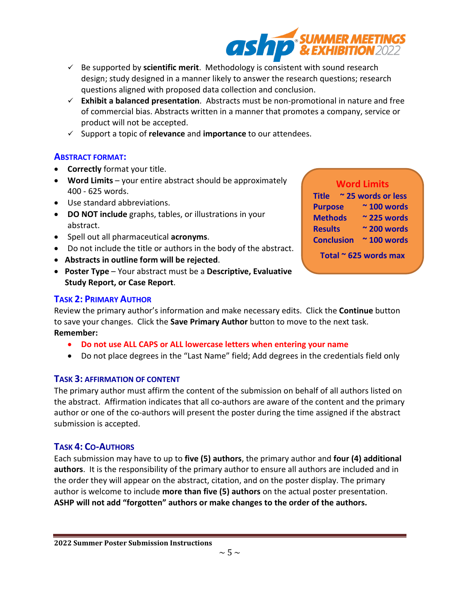$\sim$  5  $\sim$ 

- Be supported by **scientific merit**. Methodology is consistent with sound research design; study designed in a manner likely to answer the research questions; research questions aligned with proposed data collection and conclusion.
- **Exhibit a balanced presentation**. Abstracts must be non-promotional in nature and free of commercial bias. Abstracts written in a manner that promotes a company, service or product will not be accepted.
- Support a topic of **relevance** and **importance** to our attendees.

## **ABSTRACT FORMAT:**

- **Correctly** format your title.
- **Word Limits**  your entire abstract should be approximately 400 - 625 words.
- Use standard abbreviations.
- **DO NOT include** graphs, tables, or illustrations in your abstract.
- Spell out all pharmaceutical **acronyms**.
- Do not include the title or authors in the body of the abstract.
- **Abstracts in outline form will be rejected**.
- **Poster Type** Your abstract must be a **Descriptive, Evaluative Study Report, or Case Report**.

## **TASK 2: PRIMARY AUTHOR**

Review the primary author's information and make necessary edits. Click the **Continue** button to save your changes. Click the **Save Primary Author** button to move to the next task. **Remember:**

- **Do not use ALL CAPS or ALL lowercase letters when entering your name**
- Do not place degrees in the "Last Name" field; Add degrees in the credentials field only

## **TASK 3: AFFIRMATION OF CONTENT**

The primary author must affirm the content of the submission on behalf of all authors listed on the abstract. Affirmation indicates that all co-authors are aware of the content and the primary author or one of the co-authors will present the poster during the time assigned if the abstract submission is accepted.

## **TASK 4: CO-AUTHORS**

Each submission may have to up to **five (5) authors**, the primary author and **four (4) additional authors**. It is the responsibility of the primary author to ensure all authors are included and in the order they will appear on the abstract, citation, and on the poster display. The primary author is welcome to include **more than five (5) authors** on the actual poster presentation. **ASHP will not add "forgotten" authors or make changes to the order of the authors.**

| <b>Word Limits</b> |                         |
|--------------------|-------------------------|
| Title              | $\sim$ 25 words or less |
| <b>Purpose</b>     | $\approx$ 100 words     |

**Methods ~ 225 words Results ~ 200 words**

**Conclusion ~ 100 words**

**Total ~ 625 words max**

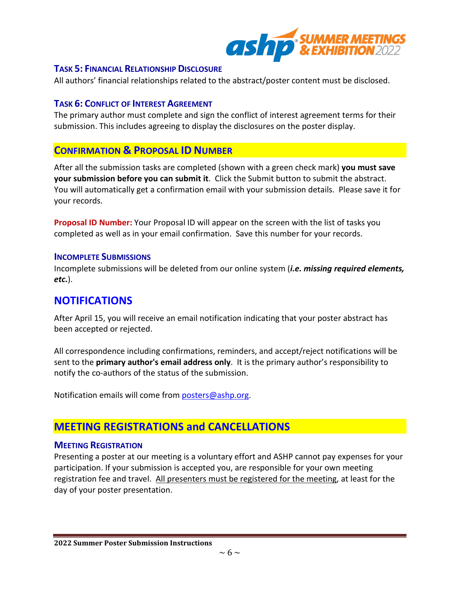

#### **TASK 5: FINANCIAL RELATIONSHIP DISCLOSURE**

All authors' financial relationships related to the abstract/poster content must be disclosed.

#### **TASK 6: CONFLICT OF INTEREST AGREEMENT**

The primary author must complete and sign the conflict of interest agreement terms for their submission. This includes agreeing to display the disclosures on the poster display.

## **CONFIRMATION & PROPOSAL ID NUMBER**

After all the submission tasks are completed (shown with a green check mark) **you must save your submission before you can submit it**. Click the Submit button to submit the abstract. You will automatically get a confirmation email with your submission details. Please save it for your records.

**Proposal ID Number:** Your Proposal ID will appear on the screen with the list of tasks you completed as well as in your email confirmation. Save this number for your records.

#### **INCOMPLETE SUBMISSIONS**

Incomplete submissions will be deleted from our online system (*i.e. missing required elements, etc.*).

# **NOTIFICATIONS**

After April 15, you will receive an email notification indicating that your poster abstract has been accepted or rejected.

All correspondence including confirmations, reminders, and accept/reject notifications will be sent to the **primary author's email address only**. It is the primary author's responsibility to notify the co-authors of the status of the submission.

Notification emails will come from [posters@ashp.org](mailto:posters@ashp.org).

# **MEETING REGISTRATIONS and CANCELLATIONS**

#### **MEETING REGISTRATION**

Presenting a poster at our meeting is a voluntary effort and ASHP cannot pay expenses for your participation. If your submission is accepted you, are responsible for your own meeting registration fee and travel. All presenters must be registered for the meeting, at least for the day of your poster presentation.